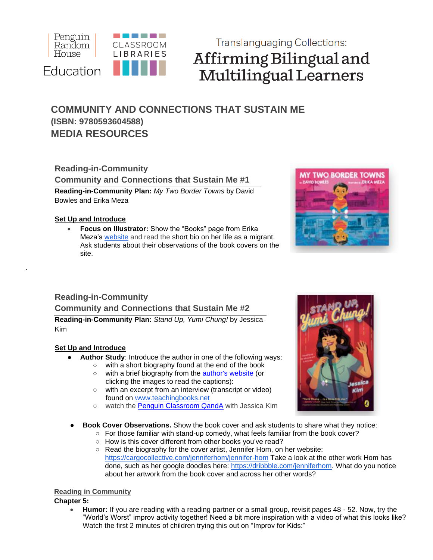

# **Translanguaging Collections:** Affirming Bilingual and **Multilingual Learners**

## **COMMUNITY AND CONNECTIONS THAT SUSTAIN ME (ISBN: 9780593604588) MEDIA RESOURCES**

## **Reading-in-Community Community and Connections that Sustain Me #1**

**Reading-in-Community Plan:** *My Two Border Towns* by David Bowles and Erika Meza

### **Set Up and Introduce**

.

• **Focus on Illustrator:** Show the "Books" page from Erika Meza's [website](https://www.erikameza.com/) and read the short bio on her life as a migrant. Ask students about their observations of the book covers on the site.



## **Reading-in-Community**

**Community and Connections that Sustain Me #2** 

**Reading-in-Community Plan:** *Stand Up, Yumi Chung!* by Jessica Kim

### **Set Up and Introduce**

- Author Study: Introduce the author in one of the following ways:
	- with a short biography found at the end of the book
	- with a brief biography from the [author's website](https://jesskimwrites.com/home/about/) (or clicking the images to read the captions):
	- with an excerpt from an interview (transcript or video) found on [www.teachingbooks.net](http://www.teachingbooks.net/)
	- watch the [Penguin Classroom QandA](https://vimeo.com/406276732) with Jessica Kim
- **Book Cover Observations.** Show the book cover and ask students to share what they notice:
	- $\circ$  For those familiar with stand-up comedy, what feels familiar from the book cover?
	- How is this cover different from other books you've read?
	- Read the biography for the cover artist, Jennifer Hom, on her website: <https://cargocollective.com/jenniferhom/jennifer-hom> Take a look at the other work Hom has done, such as her google doodles here: [https://dribbble.com/jenniferhom.](https://dribbble.com/jenniferhom) What do you notice about her artwork from the book cover and across her other words?

## **Reading in Community**

**Chapter 5:**

• **Humor:** If you are reading with a reading partner or a small group, revisit pages 48 - 52. Now, try the "World's Worst" improv activity together! Need a bit more inspiration with a video of what this looks like? Watch the first 2 minutes of children trying this out on "Improv for Kids:"

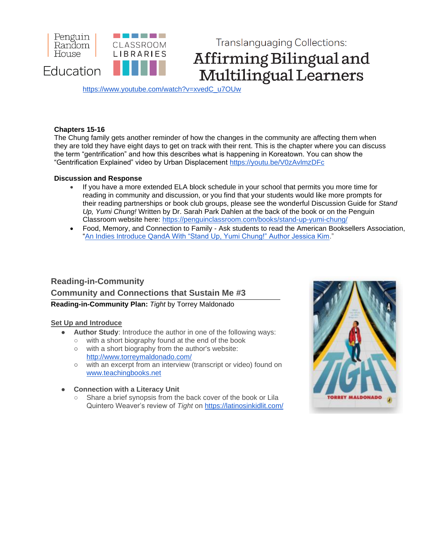

**Translanguaging Collections:** Affirming Bilingual and Multilingual Learners

[https://www.youtube.com/watch?v=xvedC\\_u7OUw](https://www.youtube.com/watch?v=xvedC_u7OUw)

#### **Chapters 15-16**

The Chung family gets another reminder of how the changes in the community are affecting them when they are told they have eight days to get on track with their rent. This is the chapter where you can discuss the term "gentrification" and how this describes what is happening in Koreatown. You can show the "Gentrification Explained" video by Urban Displacement<https://youtu.be/V0zAvlmzDFc>

#### **Discussion and Response**

- If you have a more extended ELA block schedule in your school that permits you more time for reading in community and discussion, or you find that your students would like more prompts for their reading partnerships or book club groups, please see the wonderful Discussion Guide for *Stand Up, Yumi Chung!* Written by Dr. Sarah Park Dahlen at the back of the book or on the Penguin Classroom website here:<https://penguinclassroom.com/books/stand-up-yumi-chung/>
- Food, Memory, and Connection to Family Ask students to read the American Booksellers Association, ["An Indies Introduce QandA With "Stand Up, Yumi Chung!" Author Jessica Kim.](https://www.bookweb.org/news/indies-introduce-qa-stand-yumi-chung-author-jessica-kim-576724)"

## **Reading-in-Community Community and Connections that Sustain Me #3 Reading-in-Community Plan:** *Tight* by Torrey Maldonado

#### **Set Up and Introduce**

- **Author Study:** Introduce the author in one of the following ways:
	- with a short biography found at the end of the book
	- with a short biography from the author's website: <http://www.torreymaldonado.com/>
	- with an excerpt from an interview (transcript or video) found on [www.teachingbooks.net](http://www.teachingbooks.net/)
- **● Connection with a Literacy Unit**
	- Share a brief synopsis from the back cover of the book or Lila Quintero Weaver's review of *Tight* on<https://latinosinkidlit.com/>